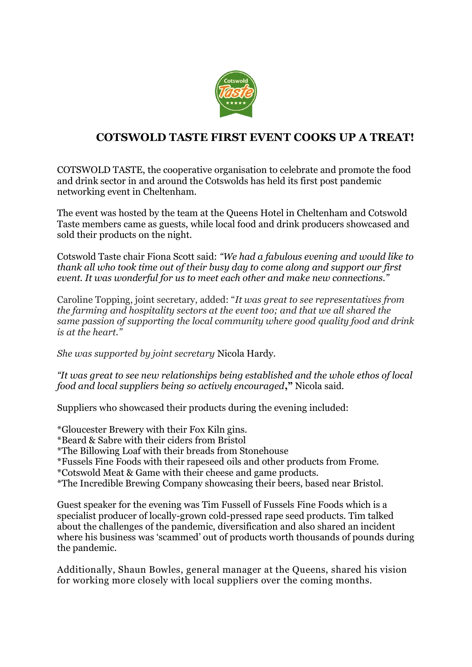

## **COTSWOLD TASTE FIRST EVENT COOKS UP A TREAT!**

COTSWOLD TASTE, the cooperative organisation to celebrate and promote the food and drink sector in and around the Cotswolds has held its first post pandemic networking event in Cheltenham.

The event was hosted by the team at the Queens Hotel in Cheltenham and Cotswold Taste members came as guests, while local food and drink producers showcased and sold their products on the night.

Cotswold Taste chair Fiona Scott said: *"We had a fabulous evening and would like to thank all who took time out of their busy day to come along and support our first event. It was wonderful for us to meet each other and make new connections."*

Caroline Topping, joint secretary, added: "*It was great to see representatives from the farming and hospitality sectors at the event too; and that we all shared the same passion of supporting the local community where good quality food and drink is at the heart."*

*She was supported by joint secretary* Nicola Hardy.

*"It was great to see new relationships being established and the whole ethos of local food and local suppliers being so actively encouraged***,"** Nicola said.

Suppliers who showcased their products during the evening included:

\*Gloucester Brewery with their Fox Kiln gins.

\*Beard & Sabre with their ciders from Bristol

\*The Billowing Loaf with their breads from Stonehouse

\*Fussels Fine Foods with their rapeseed oils and other products from Frome.

\*Cotswold Meat & Game with their cheese and game products.

\*The Incredible Brewing Company showcasing their beers, based near Bristol.

Guest speaker for the evening was Tim Fussell of Fussels Fine Foods which is a specialist producer of locally-grown cold-pressed rape seed products. Tim talked about the challenges of the pandemic, diversification and also shared an incident where his business was 'scammed' out of products worth thousands of pounds during the pandemic.

Additionally, Shaun Bowles, general manager at the Queens, shared his vision for working more closely with local suppliers over the coming months.